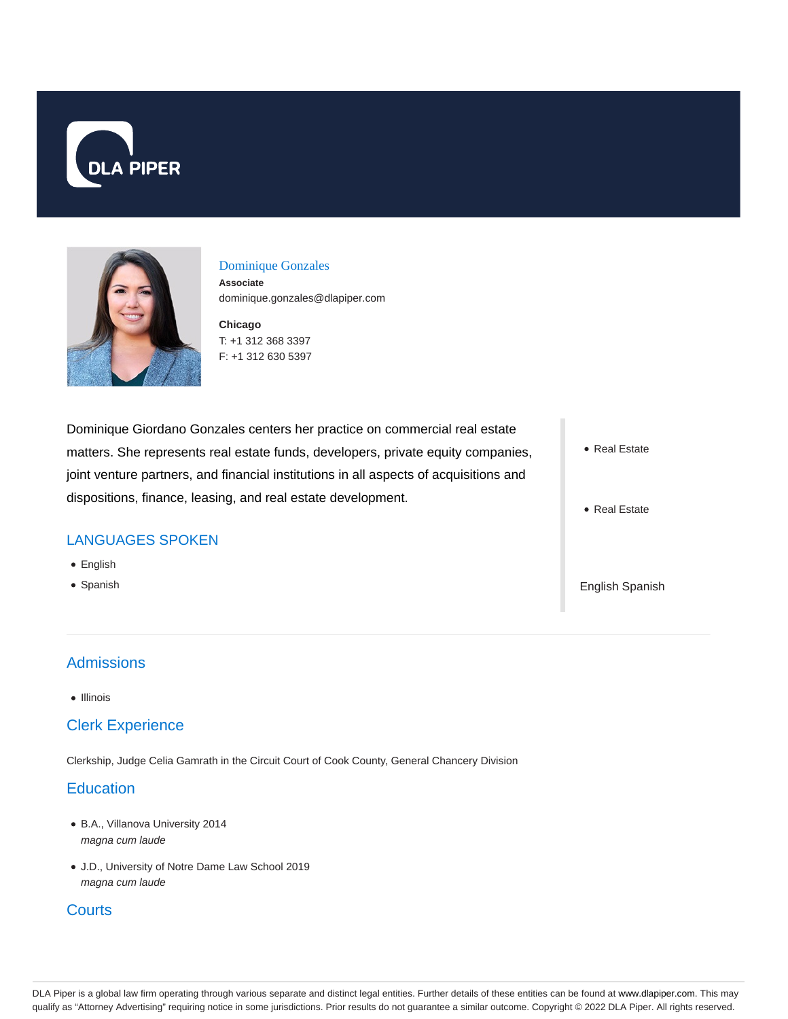



#### Dominique Gonzales

**Associate** dominique.gonzales@dlapiper.com

**Chicago** T: +1 312 368 3397 F: +1 312 630 5397

Dominique Giordano Gonzales centers her practice on commercial real estate matters. She represents real estate funds, developers, private equity companies, joint venture partners, and financial institutions in all aspects of acquisitions and dispositions, finance, leasing, and real estate development.

#### LANGUAGES SPOKEN

- English
- Spanish

# **Admissions**

 $\bullet$  Illinois

#### Clerk Experience

Clerkship, Judge Celia Gamrath in the Circuit Court of Cook County, General Chancery Division

### **Education**

- B.A., Villanova University 2014 magna cum laude
- J.D., University of Notre Dame Law School 2019 magna cum laude

## **Courts**

- Real Estate
- Real Estate

English Spanish